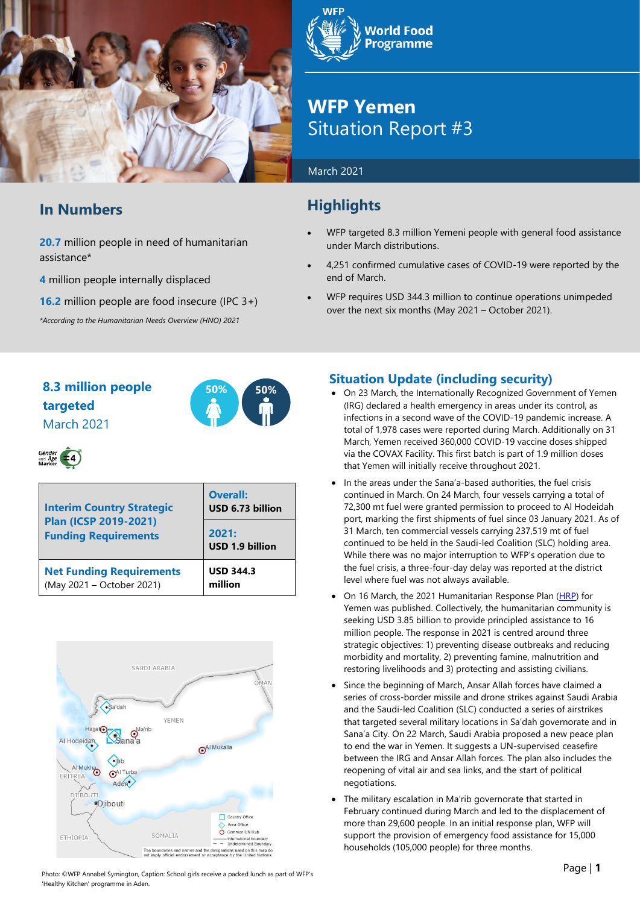

# **In Numbers**

**20.7** million people in need of humanitarian assistance\*

**4** million people internally displaced

**16.2** million people are food insecure (IPC 3+)

*\*According to the Humanitarian Needs Overview (HNO) 2021*



# **WFP Yemen** Situation Report #3

#### March 2021

# **Highlights**

- WFP targeted 8.3 million Yemeni people with general food assistance under March distributions.
- 4,251 confirmed cumulative cases of COVID-19 were reported by the end of March.
- WFP requires USD 344.3 million to continue operations unimpeded over the next six months (May 2021 – October 2021).

# **8.3 million people 50% 50% targeted** March 2021





| <b>Interim Country Strategic</b><br>Plan (ICSP 2019-2021)<br><b>Funding Requirements</b> | <b>Overall:</b><br>USD 6.73 billion |  |  |
|------------------------------------------------------------------------------------------|-------------------------------------|--|--|
|                                                                                          | 2021:<br>USD 1.9 billion            |  |  |
| <b>Net Funding Requirements</b><br>(May 2021 - October 2021)                             | <b>USD 344.3</b><br>million         |  |  |



# **Situation Update (including security)**

- On 23 March, the Internationally Recognized Government of Yemen (IRG) declared a health emergency in areas under its control, as infections in a second wave of the COVID-19 pandemic increase. A total of 1,978 cases were reported during March. Additionally on 31 March, Yeme[n received](https://reliefweb.int/report/yemen/yemen-receives-360000-covid-19-vaccine-doses-through-covax-facility-enar) 360,000 COVID-19 vaccine doses shipped via the COVAX Facility. This first batch is part of 1.9 million doses that Yemen will initially receive throughout 2021.
- In the areas under the Sana'a-based authorities, the fuel crisis continued in March. On 24 March, four vessels carrying a total of 72,300 mt fuel were granted permission to proceed to Al Hodeidah port, marking the first shipments of fuel since 03 January 2021. As of 31 March, ten commercial vessels carrying 237,519 mt of fuel continued to be held in the Saudi-led Coalition (SLC) holding area. While there was no major interruption to WFP's operation due to the fuel crisis, a three-four-day delay was reported at the district level where fuel was not always available.
- On 16 March, the 2021 Humanitarian Response Plan [\(HRP\)](https://eur03.safelinks.protection.outlook.com/?url=https%3A%2F%2Freliefweb.int%2Freport%2Fyemen%2Fyemen-humanitarian-response-plan-humanitarian-program-cycle-2021-march-2021&data=04%7C01%7Cagnes.semaan%40wfp.org%7C872e411fdb0149faa77e08d8e9c66916%7C462ad9aed7d94206b87471b1e079776f%7C0%7C0%7C637516385723671392%7CUnknown%7CTWFpbGZsb3d8eyJWIjoiMC4wLjAwMDAiLCJQIjoiV2luMzIiLCJBTiI6Ik1haWwiLCJXVCI6Mn0%3D%7C1000&sdata=dnueSsbDS0d74lPgrtVLmGUu%2FA%2F2EhVHJE8AmwlXDgQ%3D&reserved=0) for Yemen was published. Collectively, the humanitarian community is seeking USD 3.85 billion to provide principled assistance to 16 million people. The response in 2021 is centred around three strategic objectives: 1) preventing disease outbreaks and reducing morbidity and mortality, 2) preventing famine, malnutrition and restoring livelihoods and 3) protecting and assisting civilians.
- Since the beginning of March, Ansar Allah forces have claimed a series of cross-border missile and drone strikes against Saudi Arabia and the Saudi-led Coalition (SLC) conducted a series of airstrikes that targeted several military locations in Sa'dah governorate and in Sana'a City. On 22 March, Saudi Arabia proposed a new peace plan to end the war in Yemen. It suggests a UN-supervised ceasefire between the IRG and Ansar Allah forces. The plan also includes the reopening of vital air and sea links, and the start of political negotiations.
- The military escalation in Ma'rib governorate that started in February continued during March and led to the displacement of more than 29,600 people. In an initial response plan, WFP will support the provision of emergency food assistance for 15,000 households (105,000 people) for three months.

Photo: ©WFP Annabel Symington, Caption: School girls receive a packed lunch as part of WFP's 'Healthy Kitchen' programme in Aden.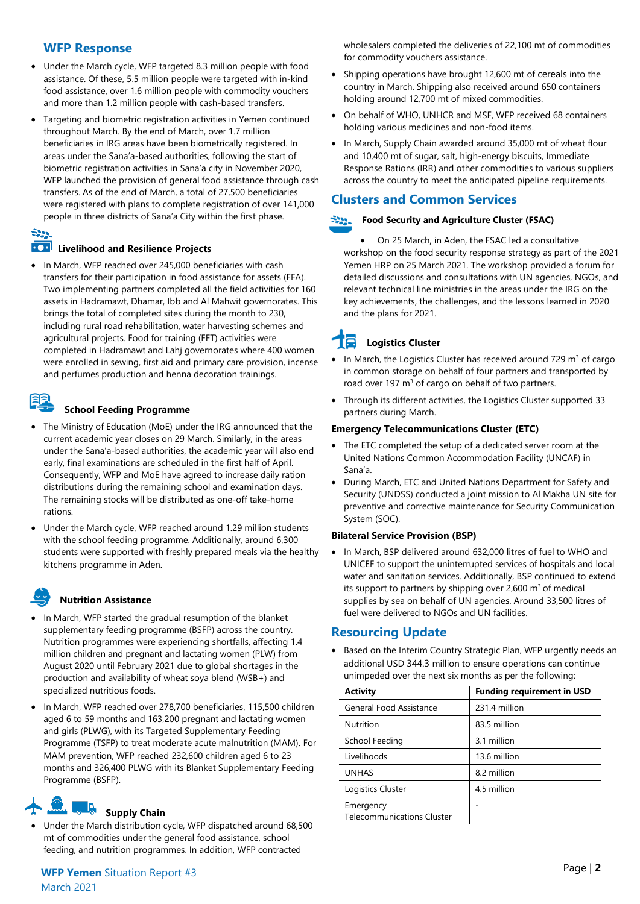### **WFP Response**

- Under the March cycle, WFP targeted 8.3 million people with food assistance. Of these, 5.5 million people were targeted with in-kind food assistance, over 1.6 million people with commodity vouchers and more than 1.2 million people with cash-based transfers.
- Targeting and biometric registration activities in Yemen continued throughout March. By the end of March, over 1.7 million beneficiaries in IRG areas have been biometrically registered. In areas under the Sana'a-based authorities, following the start of biometric registration activities in Sana'a city in November 2020, WFP launched the provision of general food assistance through cash transfers. As of the end of March, a total of 27,500 beneficiaries were registered with plans to complete registration of over 141,000 people in three districts of Sana'a City within the first phase.

### $\mathbb{R}^{n}$

#### **100 Livelihood and Resilience Projects**

In March, WFP reached over 245,000 beneficiaries with cash transfers for their participation in food assistance for assets (FFA). Two implementing partners completed all the field activities for 160 assets in Hadramawt, Dhamar, Ibb and Al Mahwit governorates. This brings the total of completed sites during the month to 230, including rural road rehabilitation, water harvesting schemes and agricultural projects. Food for training (FFT) activities were completed in Hadramawt and Lahj governorates where 400 women were enrolled in sewing, first aid and primary care provision, incense and perfumes production and henna decoration trainings.

#### **School Feeding Programme**

- The Ministry of Education (MoE) under the IRG announced that the current academic year closes on 29 March. Similarly, in the areas under the Sana'a-based authorities, the academic year will also end early, final examinations are scheduled in the first half of April. Consequently, WFP and MoE have agreed to increase daily ration distributions during the remaining school and examination days. The remaining stocks will be distributed as one-off take-home rations.
- Under the March cycle, WFP reached around 1.29 million students with the school feeding programme. Additionally, around 6,300 students were supported with freshly prepared meals via the healthy kitchens programme in Aden.

# **Nutrition Assistance**

- In March, WFP started the gradual resumption of the blanket supplementary feeding programme (BSFP) across the country. Nutrition programmes were experiencing shortfalls, affecting 1.4 million children and pregnant and lactating women (PLW) from August 2020 until February 2021 due to global shortages in the production and availability of wheat soya blend (WSB+) and specialized nutritious foods.
- In March, WFP reached over 278,700 beneficiaries, 115,500 children aged 6 to 59 months and 163,200 pregnant and lactating women and girls (PLWG), with its Targeted Supplementary Feeding Programme (TSFP) to treat moderate acute malnutrition (MAM). For MAM prevention, WFP reached 232,600 children aged 6 to 23 months and 326,400 PLWG with its Blanket Supplementary Feeding Programme (BSFP).

# **Supply Chain**

• Under the March distribution cycle, WFP dispatched around 68,500 mt of commodities under the general food assistance, school feeding, and nutrition programmes. In addition, WFP contracted

wholesalers completed the deliveries of 22,100 mt of commodities for commodity vouchers assistance.

- Shipping operations have brought 12,600 mt of cereals into the country in March. Shipping also received around 650 containers holding around 12,700 mt of mixed commodities.
- On behalf of WHO, UNHCR and MSF, WFP received 68 containers holding various medicines and non-food items.
- In March, Supply Chain awarded around 35,000 mt of wheat flour and 10,400 mt of sugar, salt, high-energy biscuits, Immediate Response Rations (IRR) and other commodities to various suppliers across the country to meet the anticipated pipeline requirements.

# **Clusters and Common Services**

#### ÷22. **Food Security and Agriculture Cluster (FSAC)**

• On 25 March, in Aden, the FSAC led a consultative workshop on the food security response strategy as part of the 2021 Yemen HRP on 25 March 2021. The workshop provided a forum for detailed discussions and consultations with UN agencies, NGOs, and relevant technical line ministries in the areas under the IRG on the key achievements, the challenges, and the lessons learned in 2020 and the plans for 2021.

# **Logistics Cluster**

- In March, the Logistics Cluster has received around 729  $m<sup>3</sup>$  of cargo in common storage on behalf of four partners and transported by road over 197  $m<sup>3</sup>$  of cargo on behalf of two partners.
- Through its different activities, the Logistics Cluster supported 33 partners during March.

#### **Emergency Telecommunications Cluster (ETC)**

- The ETC completed the setup of a dedicated server room at the United Nations Common Accommodation Facility (UNCAF) in Sana'a.
- During March, ETC and United Nations Department for Safety and Security (UNDSS) conducted a joint mission to Al Makha UN site for preventive and corrective maintenance for Security Communication System (SOC).

#### **Bilateral Service Provision (BSP)**

• In March, BSP delivered around 632,000 litres of fuel to WHO and UNICEF to support the uninterrupted services of hospitals and local water and sanitation services. Additionally, BSP continued to extend its support to partners by shipping over 2,600  $m<sup>3</sup>$  of medical supplies by sea on behalf of UN agencies. Around 33,500 litres of fuel were delivered to NGOs and UN facilities.

#### **Resourcing Update**

• Based on the Interim Country Strategic Plan, WFP urgently needs an additional USD 344.3 million to ensure operations can continue unimpeded over the next six months as per the following:

| <b>Activity</b>                                | <b>Funding requirement in USD</b> |  |  |  |
|------------------------------------------------|-----------------------------------|--|--|--|
| General Food Assistance                        | 231.4 million                     |  |  |  |
| <b>Nutrition</b>                               | 83.5 million                      |  |  |  |
| School Feeding                                 | 3.1 million                       |  |  |  |
| Livelihoods                                    | 13.6 million                      |  |  |  |
| <b>UNHAS</b>                                   | 8.2 million                       |  |  |  |
| Logistics Cluster                              | 4.5 million                       |  |  |  |
| Emergency<br><b>Telecommunications Cluster</b> |                                   |  |  |  |